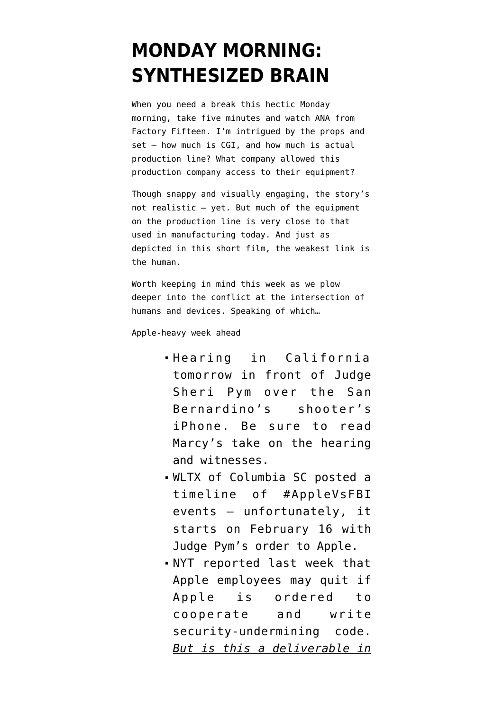## **[MONDAY MORNING:](https://www.emptywheel.net/2016/03/21/monday-morning-synthesized-brain/) [SYNTHESIZED BRAIN](https://www.emptywheel.net/2016/03/21/monday-morning-synthesized-brain/)**

When you need a break this hectic Monday morning, take five minutes and watch [ANA](https://vimeo.com/158317728) from [Factory Fifteen.](https://vimeo.com/user7380331) I'm intrigued by the props and set - how much is CGI, and how much is actual production line? What company allowed this production company access to their equipment?

Though snappy and visually engaging, the story's not realistic — yet. But much of the equipment on the production line is very close to that used in manufacturing today. And just as depicted in this short film, the weakest link is the human.

Worth keeping in mind this week as we plow deeper into the conflict at the intersection of humans and devices. Speaking of which…

Apple-heavy week ahead

- [Hearing in California](http://www.reuters.com/article/apple-encryption-hearing-iduskcn0wk2gu) [tomorrow](http://www.reuters.com/article/apple-encryption-hearing-iduskcn0wk2gu) in front of Judge Sheri Pym over the San Bernardino's shooter's iPhone. Be sure to [read](https://www.emptywheel.net/2016/03/18/coming-soon-to-apple-vs-fbi-live-witnesses-and-dead-terrorists/) [Marcy's take](https://www.emptywheel.net/2016/03/18/coming-soon-to-apple-vs-fbi-live-witnesses-and-dead-terrorists/) on the hearing and witnesses.
- WLTX of Columbia SC [posted a](http://www.wltx.com/news/nation-now/apple-v-fbi-timeline/92267752) [timeline](http://www.wltx.com/news/nation-now/apple-v-fbi-timeline/92267752) of #AppleVsFBI events — unfortunately, it starts on February 16 with Judge Pym's order to Apple.
- NYT [reported last week](http://www.nytimes.com/2016/03/18/technology/apple-encryption-engineers-if-ordered-to-unlock-iphone-might-resist.html?partner=rss&emc=rss&_r=2) that Apple employees may quit if Apple is ordered to cooperate and write security-undermining code. *But is this a deliverable in*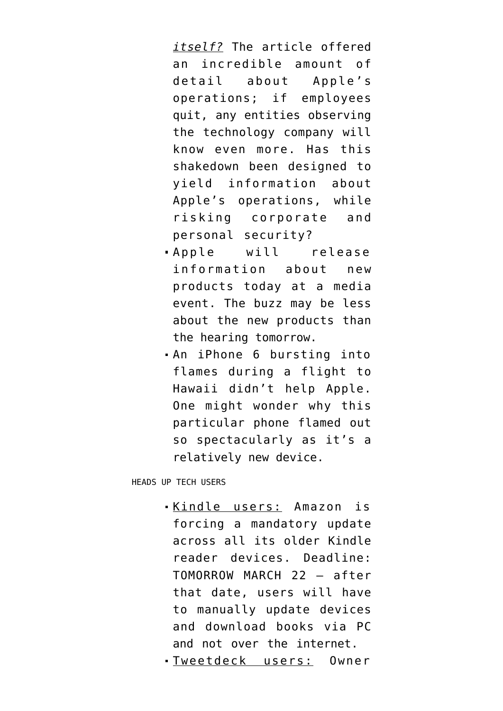*itself?* The article offered an incredible amount of detail about Apple's operations; if employees quit, any entities observing the technology company will know even more. Has this shakedown been designed to yield information about Apple's operations, while risking corporate and personal security?

- Apple will release information about [new](https://bgr.com/2016/03/18/iphone-se-ipad-pro-apple-loop-you-in-media-event/) [products today at a media](https://bgr.com/2016/03/18/iphone-se-ipad-pro-apple-loop-you-in-media-event/) [event](https://bgr.com/2016/03/18/iphone-se-ipad-pro-apple-loop-you-in-media-event/). The buzz may be less about the new products than the hearing tomorrow.
- An iPhone 6 [bursting into](http://gizmodo.com/an-iphone-is-the-latest-thing-to-catch-fire-on-a-plane-1766081044) [flames during a flight](http://gizmodo.com/an-iphone-is-the-latest-thing-to-catch-fire-on-a-plane-1766081044) to Hawaii didn't help Apple. One might wonder why this particular phone flamed out so spectacularly as it's a relatively new device.

HEADS UP TECH USERS

Kindle users: [Amazon is](http://gizmodo.com/if-you-want-to-keep-using-your-kindle-you-need-to-upda-1766018587) [forcing a mandatory update](http://gizmodo.com/if-you-want-to-keep-using-your-kindle-you-need-to-upda-1766018587) across all its older Kindle reader devices. Deadline: TOMORROW MARCH 22 — after that date, users will have to manually update devices and download books via PC and not over the internet.

Tweetdeck users: Owner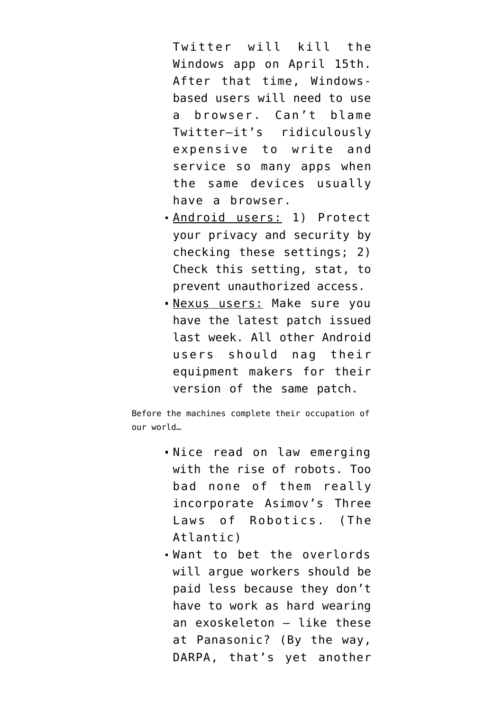Twitter will [kill the](http://www.theverge.com/2016/3/17/11255410/twitter-tweetdeck-windows-app-shut-down-april-15) [Windows app on April 15th](http://www.theverge.com/2016/3/17/11255410/twitter-tweetdeck-windows-app-shut-down-april-15). After that time, Windowsbased users will need to use a browser. Can't blame Twitter–it's ridiculously expensive to write and service so many apps when the same devices usually have a browser.

- Android users: 1) Protect your privacy and security by [checking these settings](http://www.zdnet.com/pictures/android-phone-tablet-privacy-security-settings/15/); 2) [Check this setting](http://www.zdnet.com/article/do-not-touch-this-one-android-setting-and-most-malware-will-leave-you-alone-mostly/), stat, to prevent unauthorized access.
- Nexus users: Make sure you have [the latest patch](http://www.zdnet.com/article/google-rushes-out-emergency-fix-for-android-rooting-exploit-but-most-phones-remain-at-risk/) issued last week. All other Android users should nag their equipment makers for their version of the same patch.

Before the machines complete their occupation of our world…

- [Nice read](http://www.theatlantic.com/technology/archive/2016/03/a-brief-history-of-robot-law/474156/) on law emerging with the rise of robots. Too bad none of them really incorporate Asimov's Three Laws of Robotics. (The Atlantic)
- Want to bet the overlords will argue workers should be paid less because they don't have to work as hard wearing an exoskeleton — [like these](http://mashable.com/2016/03/19/panasonic-exoskeleton/) [at Panasonic?](http://mashable.com/2016/03/19/panasonic-exoskeleton/) (By the way, DARPA, that's yet another